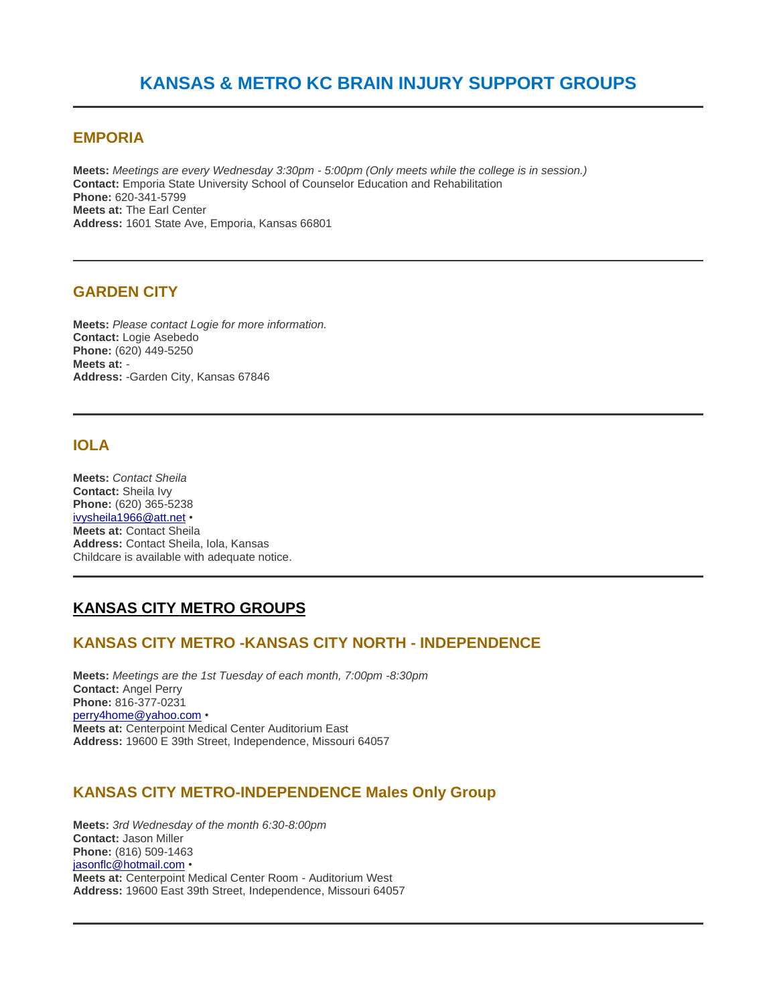### **EMPORIA**

**Meets:** *Meetings are every Wednesday 3:30pm - 5:00pm (Only meets while the college is in session.)* **Contact:** Emporia State University School of Counselor Education and Rehabilitation **Phone:** 620-341-5799 **Meets at:** The Earl Center **Address:** 1601 State Ave, Emporia, Kansas 66801

# **GARDEN CITY**

**Meets:** *Please contact Logie for more information.* **Contact:** Logie Asebedo **Phone:** (620) 449-5250 **Meets at:** - **Address:** -Garden City, Kansas 67846

# **IOLA**

**Meets:** *Contact Sheila* **Contact:** Sheila Ivy **Phone:** (620) 365-5238 [ivysheila1966@att.net](mailto:ivysheila1966@att.net) • **Meets at:** Contact Sheila **Address:** Contact Sheila, Iola, Kansas Childcare is available with adequate notice.

# **KANSAS CITY METRO GROUPS**

### **KANSAS CITY METRO -KANSAS CITY NORTH - INDEPENDENCE**

**Meets:** *Meetings are the 1st Tuesday of each month, 7:00pm -8:30pm* **Contact:** Angel Perry **Phone:** 816-377-0231 [perry4home@yahoo.com](mailto:%20perry4home@yahoo.com) • **Meets at:** Centerpoint Medical Center Auditorium East **Address:** 19600 E 39th Street, Independence, Missouri 64057

### **KANSAS CITY METRO-INDEPENDENCE Males Only Group**

**Meets:** *3rd Wednesday of the month 6:30-8:00pm* **Contact:** Jason Miller **Phone:** (816) 509-1463 [jasonflc@hotmail.com](mailto:jasonflc@hotmail.com) • **Meets at:** Centerpoint Medical Center Room - Auditorium West **Address:** 19600 East 39th Street, Independence, Missouri 64057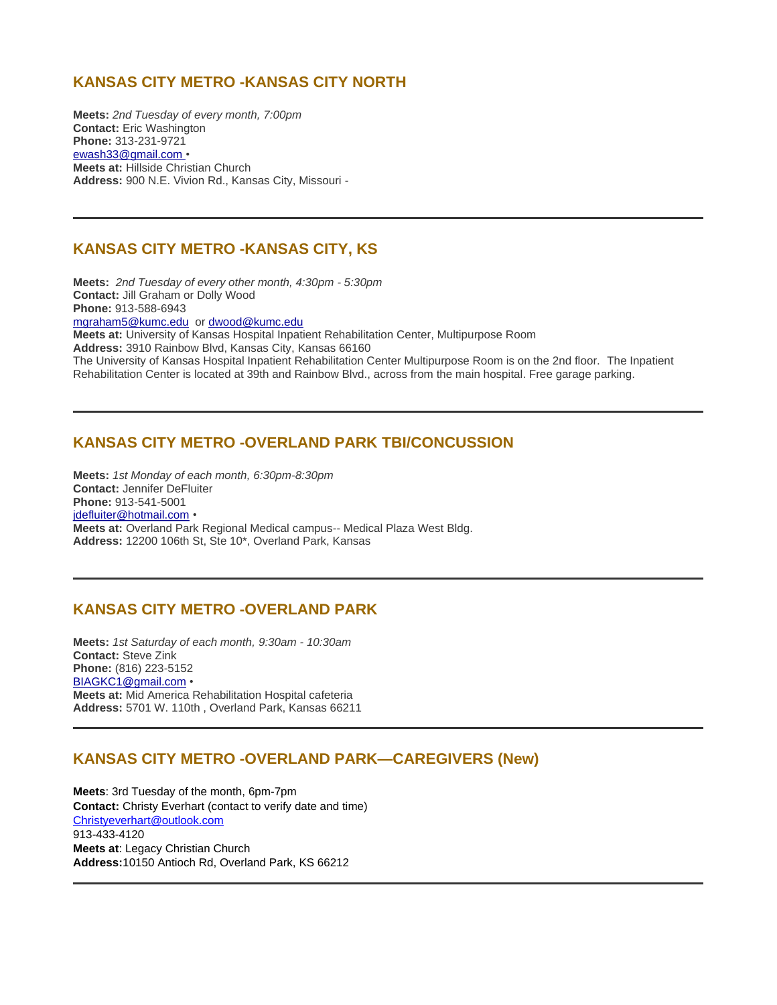# **KANSAS CITY METRO -KANSAS CITY NORTH**

**Meets:** *2nd Tuesday of every month, 7:00pm* **Contact:** Eric Washington **Phone:** 313-231-9721 [ewash33@gmail.com](mailto:ewash33@gmail.com) • **Meets at:** Hillside Christian Church **Address:** 900 N.E. Vivion Rd., Kansas City, Missouri -

# **KANSAS CITY METRO -KANSAS CITY, KS**

**Meets:** *2nd Tuesday of every other month, 4:30pm - 5:30pm* **Contact:** Jill Graham or Dolly Wood **Phone:** 913-588-6943 [mgraham5@kumc.edu](mailto:mgraham5@kumc.edu) or [dwood@kumc.edu](mailto:dwood@kumc.edu) **Meets at:** University of Kansas Hospital Inpatient Rehabilitation Center, Multipurpose Room **Address:** 3910 Rainbow Blvd, Kansas City, Kansas 66160 The University of Kansas Hospital Inpatient Rehabilitation Center Multipurpose Room is on the 2nd floor. The Inpatient Rehabilitation Center is located at 39th and Rainbow Blvd., across from the main hospital. Free garage parking.

# **KANSAS CITY METRO -OVERLAND PARK TBI/CONCUSSION**

**Meets:** *1st Monday of each month, 6:30pm-8:30pm* **Contact:** Jennifer DeFluiter **Phone:** 913-541-5001 [jdefluiter@hotmail.com](mailto:jdefluiter@hotmail.com) • **Meets at:** Overland Park Regional Medical campus-- Medical Plaza West Bldg. **Address:** 12200 106th St, Ste 10\*, Overland Park, Kansas

# **KANSAS CITY METRO -OVERLAND PARK**

**Meets:** *1st Saturday of each month, 9:30am - 10:30am* **Contact:** Steve Zink **Phone:** (816) 223-5152 [BIAGKC1@gmail.com](mailto:BIAGKC1@gmail.com) • **Meets at:** Mid America Rehabilitation Hospital cafeteria **Address:** 5701 W. 110th , Overland Park, Kansas 66211

# **KANSAS CITY METRO -OVERLAND PARK—CAREGIVERS (New)**

**Meets**: 3rd Tuesday of the month, 6pm-7pm **Contact:** Christy Everhart (contact to verify date and time) [Christyeverhart@outlook.com](mailto:Christyeverhart@outlook.com) 913-433-4120 **Meets at**: Legacy Christian Church **Address:**10150 Antioch Rd, Overland Park, KS 66212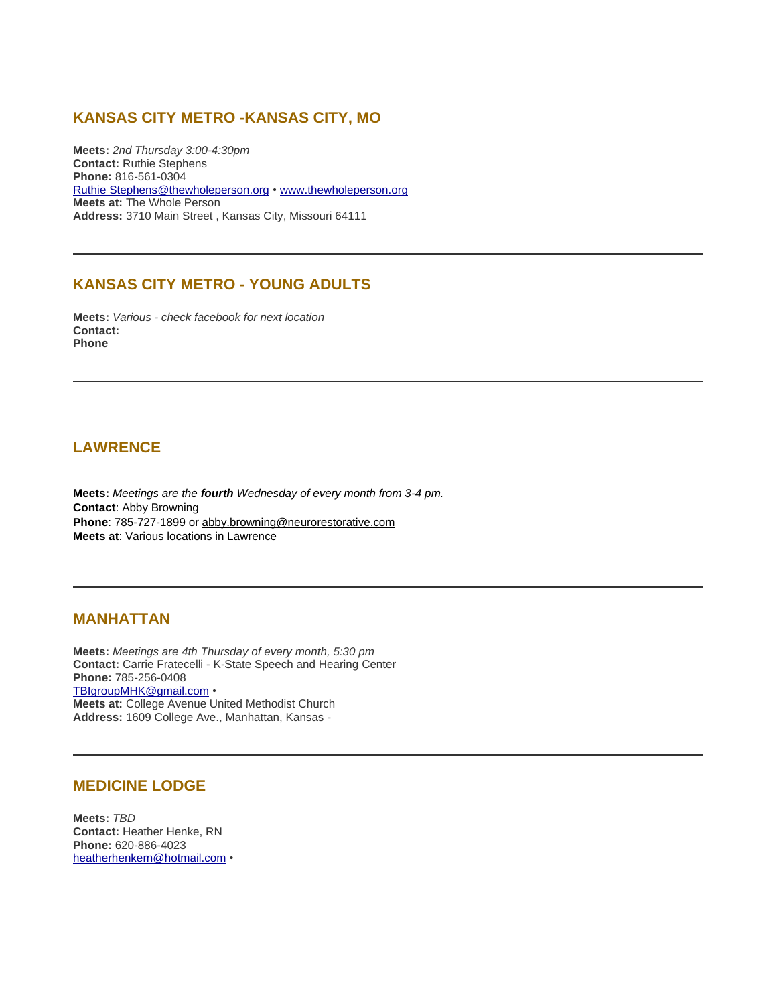# **KANSAS CITY METRO -KANSAS CITY, MO**

**Meets:** *2nd Thursday 3:00-4:30pm* **Contact:** Ruthie Stephens **Phone:** 816-561-0304 [Ruthie Stephens@thewholeperson.org](mailto:Ruthie%20Stephens@thewholeperson.org) • [www.thewholeperson.org](http://www.thewholeperson.org/) **Meets at:** The Whole Person **Address:** 3710 Main Street , Kansas City, Missouri 64111

# **KANSAS CITY METRO - YOUNG ADULTS**

**Meets:** *Various - check facebook for next location* **Contact: Phone**

### **LAWRENCE**

**Meets:** *Meetings are the fourth Wednesday of every month from 3-4 pm.* **Contact**: Abby Browning **Phone**: 785-727-1899 or [abby.browning@neurorestorative.com](mailto:abby.browning@neurorestorative.com) **Meets at**: Various locations in Lawrence

#### **MANHATTAN**

**Meets:** *Meetings are 4th Thursday of every month, 5:30 pm* **Contact:** Carrie Fratecelli - K-State Speech and Hearing Center **Phone:** 785-256-0408 [TBIgroupMHK@gmail.com](mailto:TBIgroupMHK@gmail.com) • **Meets at:** College Avenue United Methodist Church **Address:** 1609 College Ave., Manhattan, Kansas -

#### **MEDICINE LODGE**

**Meets:** *TBD* **Contact:** Heather Henke, RN **Phone:** 620-886-4023 [heatherhenkern@hotmail.com](mailto:heatherhenkern@hotmail.com) •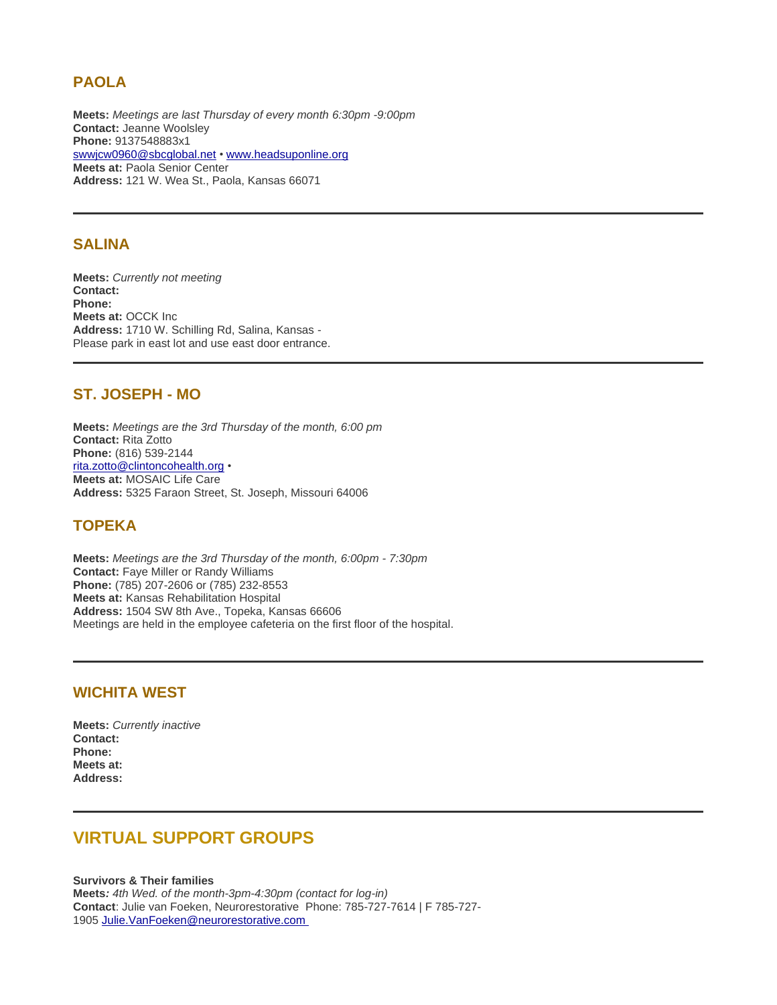# **PAOLA**

**Meets:** *Meetings are last Thursday of every month 6:30pm -9:00pm* **Contact:** Jeanne Woolsley **Phone:** 9137548883x1 [swwjcw0960@sbcglobal.net](mailto:swwjcw0960@sbcglobal.net) • [www.headsuponline.org](http://www.headsuponline.org/) **Meets at:** Paola Senior Center **Address:** 121 W. Wea St., Paola, Kansas 66071

#### **SALINA**

**Meets:** *Currently not meeting*  **Contact: Phone: Meets at:** OCCK Inc **Address:** 1710 W. Schilling Rd, Salina, Kansas - Please park in east lot and use east door entrance.

#### **ST. JOSEPH - MO**

**Meets:** *Meetings are the 3rd Thursday of the month, 6:00 pm* **Contact:** Rita Zotto **Phone:** (816) 539-2144 [rita.zotto@clintoncohealth.org](mailto:rita.zotto@clintoncohealth.org) • **Meets at:** MOSAIC Life Care **Address:** 5325 Faraon Street, St. Joseph, Missouri 64006

# **TOPEKA**

**Meets:** *Meetings are the 3rd Thursday of the month, 6:00pm - 7:30pm* **Contact:** Faye Miller or Randy Williams **Phone:** (785) 207-2606 or (785) 232-8553 **Meets at:** Kansas Rehabilitation Hospital **Address:** 1504 SW 8th Ave., Topeka, Kansas 66606 Meetings are held in the employee cafeteria on the first floor of the hospital.

### **WICHITA WEST**

**Meets:** *Currently inactive* **Contact: Phone: Meets at: Address:**

# **VIRTUAL SUPPORT GROUPS**

**Survivors & Their families Meets***: 4th Wed. of the month-3pm-4:30pm (contact for log-in)* **Contact**: Julie van Foeken, Neurorestorative Phone: 785-727-7614 | F 785-727- 1905 Julie.VanFoeken@neurorestorative.com